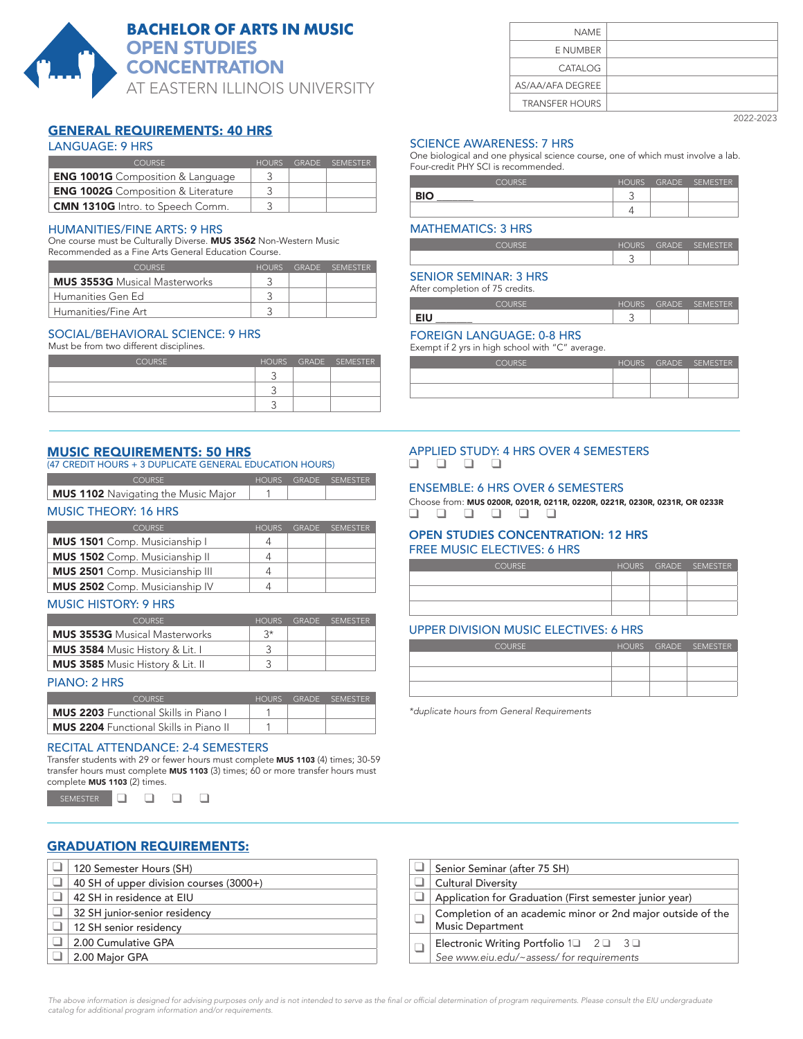

# **BACHELOR OF ARTS IN MUSIC** OPEN STUDIES **CONCENTRATION**

AT EASTERN ILLINOIS UNIVERSITY

# GENERAL REQUIREMENTS: 40 HRS

### LANGUAGE: 9 HRS

| COURSE.                                   | <b>HOURS</b> | GRADE SEMESTER |
|-------------------------------------------|--------------|----------------|
| <b>ENG 1001G</b> Composition & Language   |              |                |
| <b>ENG 1002G</b> Composition & Literature |              |                |
| <b>CMN 1310G</b> Intro. to Speech Comm.   |              |                |

#### HUMANITIES/FINE ARTS: 9 HRS

One course must be Culturally Diverse. MUS 3562 Non-Western Music Recommended as a Fine Arts General Education Course.

| COURSE.                              | HOURS | GRADE SEMESTER |
|--------------------------------------|-------|----------------|
| <b>MUS 3553G</b> Musical Masterworks |       |                |
| Humanities Gen Ed                    |       |                |
| Humanities/Fine Art                  |       |                |

#### SOCIAL/BEHAVIORAL SCIENCE: 9 HRS

Must be from two different disciplines.

| <b>COURSE</b> |  | HOURS GRADE SEMESTER |
|---------------|--|----------------------|
|               |  |                      |
|               |  |                      |
|               |  |                      |

#### MUSIC REQUIREMENTS: 50 HRS

(47 CREDIT HOURS + 3 DUPLICATE GENERAL EDUCATION HOURS)

| COLIRSE.                            |  | HOURS GRADE SEMESTER |
|-------------------------------------|--|----------------------|
| MUS 1102 Navigating the Music Major |  |                      |

#### MUSIC THEORY: 16 HRS

| <b>COURSE</b>                          | <b>HOURS</b> | GRADE SEMESTER |
|----------------------------------------|--------------|----------------|
| <b>MUS 1501</b> Comp. Musicianship I   |              |                |
| <b>MUS 1502</b> Comp. Musicianship II  | 4            |                |
| <b>MUS 2501</b> Comp. Musicianship III |              |                |
| <b>MUS 2502</b> Comp. Musicianship IV  | 4            |                |

#### MUSIC HISTORY: 9 HRS

| <b>COURSE</b>                           | <b>HOURS</b> | GRADE SEMESTER |
|-----------------------------------------|--------------|----------------|
| <b>MUS 3553G</b> Musical Masterworks    | ⊰∗           |                |
| <b>MUS 3584</b> Music History & Lit. I  |              |                |
| <b>MUS 3585</b> Music History & Lit. II |              |                |

#### PIANO: 2 HRS

| COLIRSE                                       | HOURS | <b>GRADE</b> | <b>SEMESTER</b> |
|-----------------------------------------------|-------|--------------|-----------------|
| <b>MUS 2203</b> Functional Skills in Piano L  |       |              |                 |
| <b>MUS 2204</b> Functional Skills in Piano II |       |              |                 |

#### RECITAL ATTENDANCE: 2-4 SEMESTERS

Transfer students with 29 or fewer hours must complete MUS 1103 (4) times; 30-59 transfer hours must complete MUS 1103 (3) times; 60 or more transfer hours must complete MUS 1103 (2) times.

SEMESTER  $\Box$   $\Box$   $\Box$   $\Box$ 

#### GRADUATION REQUIREMENTS:

| 120 Semester Hours (SH)                 |
|-----------------------------------------|
| 40 SH of upper division courses (3000+) |
| 42 SH in residence at EIU               |
| 32 SH junior-senior residency           |
| 12 SH senior residency                  |
| 2.00 Cumulative GPA                     |
| 2.00 Major GPA                          |

| NAME                  |
|-----------------------|
| E NUMBER              |
| <b>CATALOG</b>        |
| AS/AA/AFA DEGREE      |
| <b>TRANSFER HOURS</b> |
|                       |

#### 2022-2023

#### SCIENCE AWARENESS: 7 HRS

One biological and one physical science course, one of which must involve a lab. Four-credit PHY SCI is recommended.

| COLIBSE    | <b>HOURS</b> | <b>GRADE</b> | SEMESTER |
|------------|--------------|--------------|----------|
| <b>RIO</b> |              |              |          |
|            |              |              |          |

#### MATHEMATICS: 3 HRS

COURSE HOURS GRADE SEMESTER 3

#### SENIOR SEMINAR: 3 HRS

After completion of 75 credits.

| COLIDCE | <b>HOURS</b> | <b>GRADE</b><br>_ | SEMESTER |
|---------|--------------|-------------------|----------|
| EIU     | ∽<br>$\sim$  |                   |          |

#### FOREIGN LANGUAGE: 0-8 HRS

Exempt if 2 yrs in high school with "C" average.

| COLIRSE. |  | HOURS GRADE SEMESTER |
|----------|--|----------------------|
|          |  |                      |
|          |  |                      |

#### APPLIED STUDY: 4 HRS OVER 4 SEMESTERS q q q q

#### ENSEMBLE: 6 HRS OVER 6 SEMESTERS

Choose from: MUS 0200R, 0201R, 0211R, 0220R, 0221R, 0230R, 0231R, OR 0233R q q q q q q

#### OPEN STUDIES CONCENTRATION: 12 HRS FREE MUSIC ELECTIVES: 6 HRS

| <b>COURSE</b> |  | HOURS GRADE SEMESTER |
|---------------|--|----------------------|
|               |  |                      |
|               |  |                      |
|               |  |                      |

#### UPPER DIVISION MUSIC ELECTIVES: 6 HRS

| <b>COURSE</b> |  | HOURS GRADE SEMESTER |
|---------------|--|----------------------|
|               |  |                      |
|               |  |                      |
|               |  |                      |

\*duplicate hours from General Requirements

| Senior Seminar (after 75 SH)                                                                      |  |  |  |  |
|---------------------------------------------------------------------------------------------------|--|--|--|--|
| <b>Cultural Diversity</b>                                                                         |  |  |  |  |
| Application for Graduation (First semester junior year)                                           |  |  |  |  |
| Completion of an academic minor or 2nd major outside of the<br><b>Music Department</b>            |  |  |  |  |
| Electronic Writing Portfolio $1\Box$ $2\Box$ $3\Box$<br>See www.eiu.edu/~assess/ for requirements |  |  |  |  |

The above information is designed for advising purposes only and is not intended to serve as the final or official determination of program requirements. Please consult the EIU undergraduate catalog for additional program information and/or requirements.